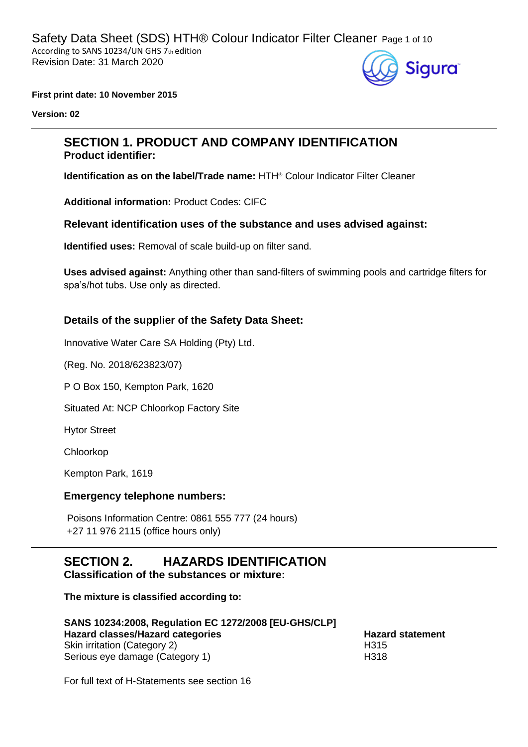Safety Data Sheet (SDS) HTH® Colour Indicator Filter Cleaner Page 1 of 10 According to SANS 10234/UN GHS 7th edition Revision Date: 31 March 2020



**First print date: 10 November 2015**

**Version: 02**

# **SECTION 1. PRODUCT AND COMPANY IDENTIFICATION Product identifier:**

**Identification as on the label/Trade name:** HTH® Colour Indicator Filter Cleaner

**Additional information:** Product Codes: CIFC

# **Relevant identification uses of the substance and uses advised against:**

**Identified uses:** Removal of scale build-up on filter sand.

**Uses advised against:** Anything other than sand-filters of swimming pools and cartridge filters for spa's/hot tubs. Use only as directed.

# **Details of the supplier of the Safety Data Sheet:**

Innovative Water Care SA Holding (Pty) Ltd.

(Reg. No. 2018/623823/07)

P O Box 150, Kempton Park, 1620

Situated At: NCP Chloorkop Factory Site

Hytor Street

Chloorkop

Kempton Park, 1619

## **Emergency telephone numbers:**

Poisons Information Centre: 0861 555 777 (24 hours) +27 11 976 2115 (office hours only)

# **SECTION 2. HAZARDS IDENTIFICATION Classification of the substances or mixture:**

**The mixture is classified according to:**

**SANS 10234:2008, Regulation EC 1272/2008 [EU-GHS/CLP] Hazard classes/Hazard categories Hazard statement** Skin irritation (Category 2) H315 Serious eye damage (Category 1) H318

For full text of H-Statements see section 16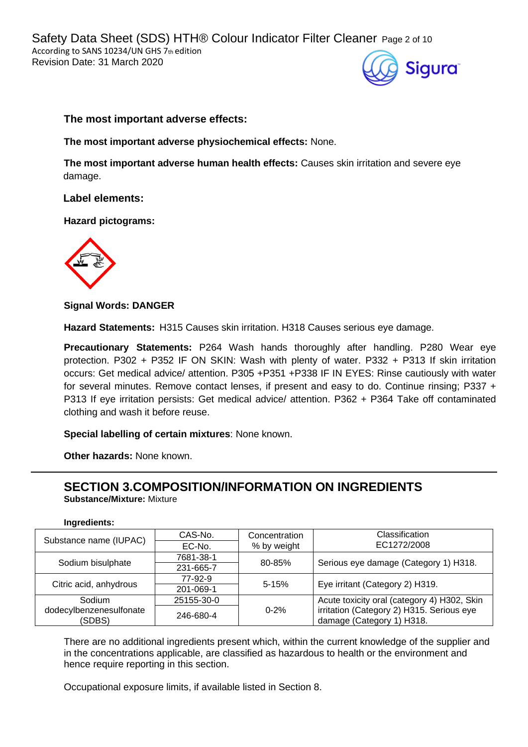

# **The most important adverse effects:**

**The most important adverse physiochemical effects:** None.

**The most important adverse human health effects:** Causes skin irritation and severe eye damage.

**Label elements:**

**Hazard pictograms:**



**Signal Words: DANGER**

**Hazard Statements:** H315 Causes skin irritation. H318 Causes serious eye damage.

**Precautionary Statements:** P264 Wash hands thoroughly after handling. P280 Wear eye protection. P302 + P352 IF ON SKIN: Wash with plenty of water. P332 + P313 If skin irritation occurs: Get medical advice/ attention. P305 +P351 +P338 IF IN EYES: Rinse cautiously with water for several minutes. Remove contact lenses, if present and easy to do. Continue rinsing; P337 + P313 If eye irritation persists: Get medical advice/ attention. P362 + P364 Take off contaminated clothing and wash it before reuse.

**Special labelling of certain mixtures**: None known.

**Other hazards:** None known.

# **SECTION 3.COMPOSITION/INFORMATION ON INGREDIENTS Substance/Mixture:** Mixture

#### **Ingredients:**

| Substance name (IUPAC)  | CAS-No.    | Concentration | Classification                              |  |
|-------------------------|------------|---------------|---------------------------------------------|--|
|                         | EC-No.     | % by weight   | EC1272/2008                                 |  |
| Sodium bisulphate       | 7681-38-1  | 80-85%        | Serious eye damage (Category 1) H318.       |  |
|                         | 231-665-7  |               |                                             |  |
| Citric acid, anhydrous  | 77-92-9    | $5 - 15%$     | Eye irritant (Category 2) H319.             |  |
|                         | 201-069-1  |               |                                             |  |
| Sodium                  | 25155-30-0 |               | Acute toxicity oral (category 4) H302, Skin |  |
| dodecylbenzenesulfonate | 246-680-4  | $0 - 2%$      | irritation (Category 2) H315. Serious eye   |  |
| (SDBS)                  |            |               | damage (Category 1) H318.                   |  |

There are no additional ingredients present which, within the current knowledge of the supplier and in the concentrations applicable, are classified as hazardous to health or the environment and hence require reporting in this section.

Occupational exposure limits, if available listed in Section 8.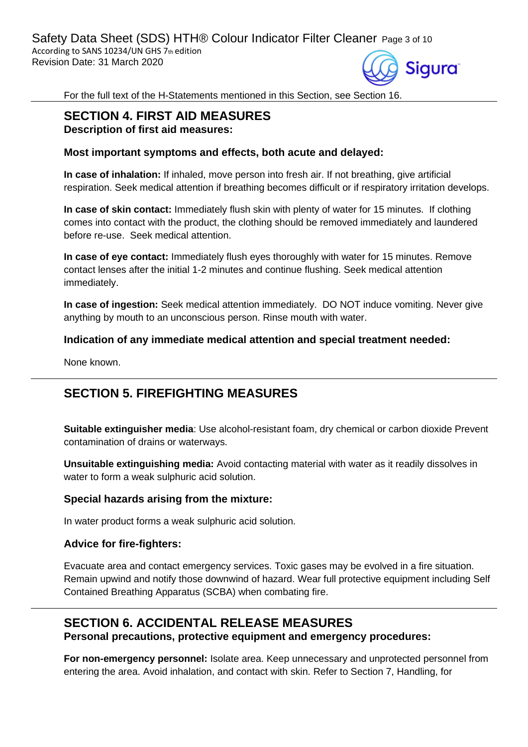Safety Data Sheet (SDS) HTH® Colour Indicator Filter Cleaner Page 3 of 10 According to SANS 10234/UN GHS 7th edition Revision Date: 31 March 2020



For the full text of the H-Statements mentioned in this Section, see Section 16.

# **SECTION 4. FIRST AID MEASURES Description of first aid measures:**

## **Most important symptoms and effects, both acute and delayed:**

**In case of inhalation:** If inhaled, move person into fresh air. If not breathing, give artificial respiration. Seek medical attention if breathing becomes difficult or if respiratory irritation develops.

**In case of skin contact:** Immediately flush skin with plenty of water for 15 minutes. If clothing comes into contact with the product, the clothing should be removed immediately and laundered before re-use. Seek medical attention.

**In case of eye contact:** Immediately flush eyes thoroughly with water for 15 minutes. Remove contact lenses after the initial 1-2 minutes and continue flushing. Seek medical attention immediately.

**In case of ingestion:** Seek medical attention immediately. DO NOT induce vomiting. Never give anything by mouth to an unconscious person. Rinse mouth with water.

# **Indication of any immediate medical attention and special treatment needed:**

None known.

# **SECTION 5. FIREFIGHTING MEASURES**

**Suitable extinguisher media**: Use alcohol-resistant foam, dry chemical or carbon dioxide Prevent contamination of drains or waterways.

**Unsuitable extinguishing media:** Avoid contacting material with water as it readily dissolves in water to form a weak sulphuric acid solution.

# **Special hazards arising from the mixture:**

In water product forms a weak sulphuric acid solution.

# **Advice for fire-fighters:**

Evacuate area and contact emergency services. Toxic gases may be evolved in a fire situation. Remain upwind and notify those downwind of hazard. Wear full protective equipment including Self Contained Breathing Apparatus (SCBA) when combating fire.

# **SECTION 6. ACCIDENTAL RELEASE MEASURES Personal precautions, protective equipment and emergency procedures:**

**For non-emergency personnel:** Isolate area. Keep unnecessary and unprotected personnel from entering the area. Avoid inhalation, and contact with skin. Refer to Section 7, Handling, for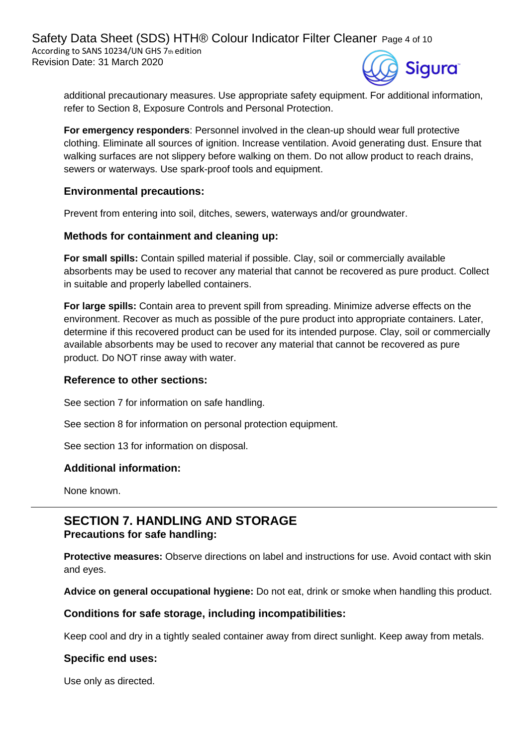Safety Data Sheet (SDS) HTH® Colour Indicator Filter Cleaner Page 4 of 10 According to SANS 10234/UN GHS 7th edition Revision Date: 31 March 2020



additional precautionary measures. Use appropriate safety equipment. For additional information, refer to Section 8, Exposure Controls and Personal Protection.

**For emergency responders**: Personnel involved in the clean-up should wear full protective clothing. Eliminate all sources of ignition. Increase ventilation. Avoid generating dust. Ensure that walking surfaces are not slippery before walking on them. Do not allow product to reach drains, sewers or waterways. Use spark-proof tools and equipment.

# **Environmental precautions:**

Prevent from entering into soil, ditches, sewers, waterways and/or groundwater.

## **Methods for containment and cleaning up:**

**For small spills:** Contain spilled material if possible. Clay, soil or commercially available absorbents may be used to recover any material that cannot be recovered as pure product. Collect in suitable and properly labelled containers.

**For large spills:** Contain area to prevent spill from spreading. Minimize adverse effects on the environment. Recover as much as possible of the pure product into appropriate containers. Later, determine if this recovered product can be used for its intended purpose. Clay, soil or commercially available absorbents may be used to recover any material that cannot be recovered as pure product. Do NOT rinse away with water.

## **Reference to other sections:**

See section 7 for information on safe handling.

See section 8 for information on personal protection equipment.

See section 13 for information on disposal.

## **Additional information:**

None known.

# **SECTION 7. HANDLING AND STORAGE Precautions for safe handling:**

**Protective measures:** Observe directions on label and instructions for use. Avoid contact with skin and eyes.

**Advice on general occupational hygiene:** Do not eat, drink or smoke when handling this product.

## **Conditions for safe storage, including incompatibilities:**

Keep cool and dry in a tightly sealed container away from direct sunlight. Keep away from metals.

## **Specific end uses:**

Use only as directed.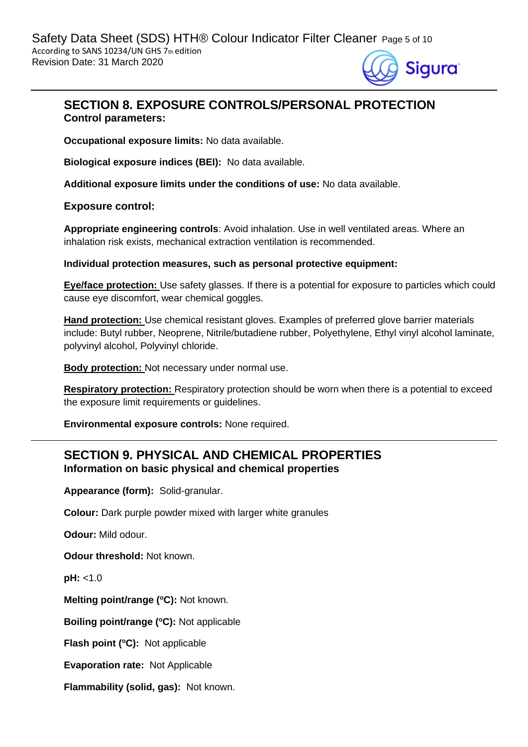# Sigura<sup>-</sup>

# **SECTION 8. EXPOSURE CONTROLS/PERSONAL PROTECTION Control parameters:**

**Occupational exposure limits:** No data available.

**Biological exposure indices (BEI):** No data available.

**Additional exposure limits under the conditions of use:** No data available.

**Exposure control:**

**Appropriate engineering controls**: Avoid inhalation. Use in well ventilated areas. Where an inhalation risk exists, mechanical extraction ventilation is recommended.

**Individual protection measures, such as personal protective equipment:**

**Eye/face protection:** Use safety glasses. If there is a potential for exposure to particles which could cause eye discomfort, wear chemical goggles.

**Hand protection:** Use chemical resistant gloves. Examples of preferred glove barrier materials include: Butyl rubber, Neoprene, Nitrile/butadiene rubber, Polyethylene, Ethyl vinyl alcohol laminate, polyvinyl alcohol, Polyvinyl chloride.

**Body protection:** Not necessary under normal use.

**Respiratory protection:** Respiratory protection should be worn when there is a potential to exceed the exposure limit requirements or guidelines.

**Environmental exposure controls:** None required.

# **SECTION 9. PHYSICAL AND CHEMICAL PROPERTIES Information on basic physical and chemical properties**

**Appearance (form):** Solid-granular.

**Colour:** Dark purple powder mixed with larger white granules

**Odour:** Mild odour.

**Odour threshold:** Not known.

**pH:** <1.0

**Melting point/range (<sup>o</sup>C):** Not known.

**Boiling point/range (<sup>o</sup>C):** Not applicable

**Flash point (°C):** Not applicable

**Evaporation rate:** Not Applicable

**Flammability (solid, gas):** Not known.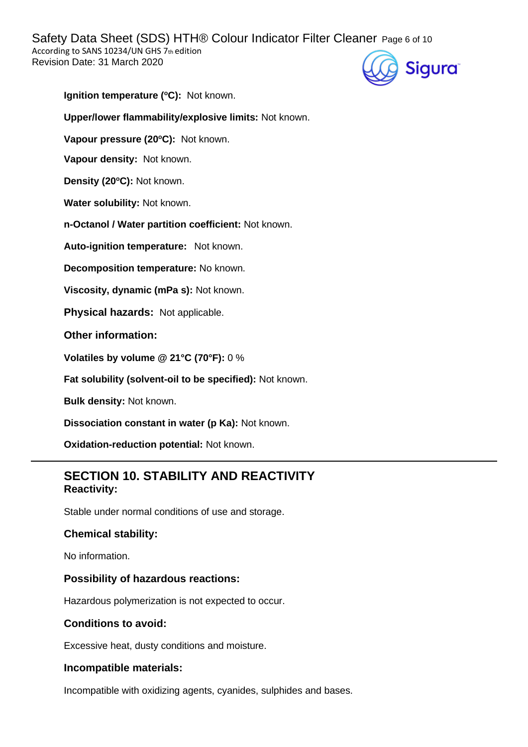Safety Data Sheet (SDS) HTH® Colour Indicator Filter Cleaner Page 6 of 10 According to SANS 10234/UN GHS 7th edition Revision Date: 31 March 2020



**Ignition temperature (°C):** Not known.

**Upper/lower flammability/explosive limits:** Not known.

**Vapour pressure (20<sup>o</sup>C):** Not known.

**Vapour density:** Not known.

**Density (20 <sup>o</sup>C):** Not known.

**Water solubility:** Not known.

**n-Octanol / Water partition coefficient:** Not known.

**Auto-ignition temperature:** Not known.

**Decomposition temperature:** No known.

**Viscosity, dynamic (mPa s):** Not known.

**Physical hazards:** Not applicable.

**Other information:**

**Volatiles by volume @ 21°C (70°F):** 0 %

**Fat solubility (solvent-oil to be specified):** Not known.

**Bulk density:** Not known.

**Dissociation constant in water (p Ka):** Not known.

**Oxidation-reduction potential:** Not known.

# **SECTION 10. STABILITY AND REACTIVITY Reactivity:**

Stable under normal conditions of use and storage.

## **Chemical stability:**

No information.

## **Possibility of hazardous reactions:**

Hazardous polymerization is not expected to occur.

## **Conditions to avoid:**

Excessive heat, dusty conditions and moisture.

## **Incompatible materials:**

Incompatible with oxidizing agents, cyanides, sulphides and bases.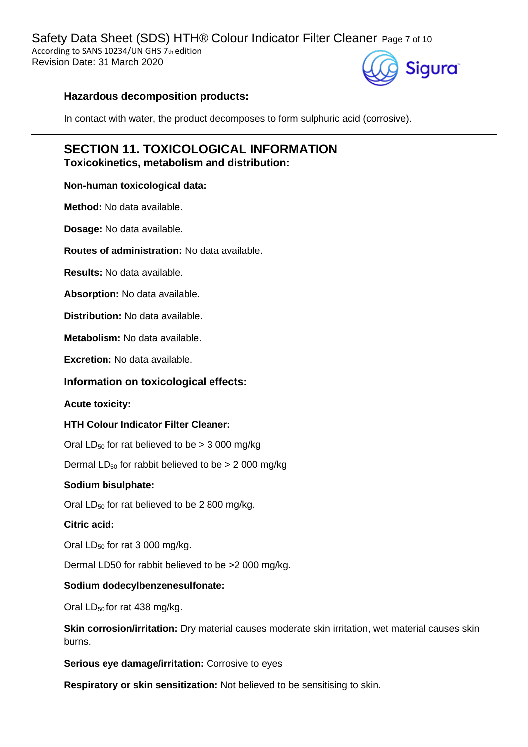Safety Data Sheet (SDS) HTH® Colour Indicator Filter Cleaner Page 7 of 10 According to SANS 10234/UN GHS 7th edition Revision Date: 31 March 2020



# **Hazardous decomposition products:**

In contact with water, the product decomposes to form sulphuric acid (corrosive).

**SECTION 11. TOXICOLOGICAL INFORMATION Toxicokinetics, metabolism and distribution:**

## **Non-human toxicological data:**

**Method:** No data available.

**Dosage:** No data available.

**Routes of administration:** No data available.

**Results:** No data available.

**Absorption:** No data available.

**Distribution:** No data available.

**Metabolism:** No data available.

**Excretion:** No data available.

## **Information on toxicological effects:**

**Acute toxicity:** 

## **HTH Colour Indicator Filter Cleaner:**

Oral  $LD_{50}$  for rat believed to be  $> 3000$  mg/kg

Dermal  $LD_{50}$  for rabbit believed to be  $> 2000$  mg/kg

## **Sodium bisulphate:**

Oral  $LD_{50}$  for rat believed to be 2 800 mg/kg.

#### **Citric acid:**

Oral  $LD_{50}$  for rat 3 000 mg/kg.

Dermal LD50 for rabbit believed to be >2 000 mg/kg.

## **Sodium dodecylbenzenesulfonate:**

Oral  $LD_{50}$  for rat 438 mg/kg.

**Skin corrosion/irritation:** Dry material causes moderate skin irritation, wet material causes skin burns.

**Serious eye damage/irritation:** Corrosive to eyes

**Respiratory or skin sensitization:** Not believed to be sensitising to skin.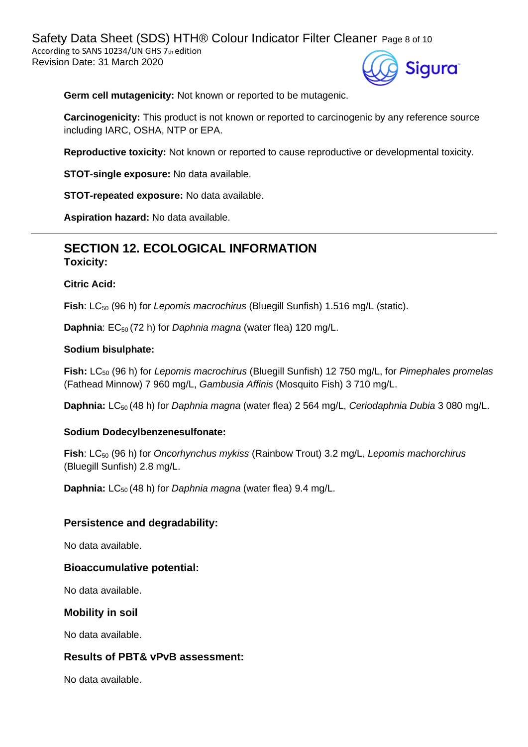Safety Data Sheet (SDS) HTH® Colour Indicator Filter Cleaner Page 8 of 10 According to SANS 10234/UN GHS 7th edition Revision Date: 31 March 2020



**Germ cell mutagenicity:** Not known or reported to be mutagenic.

**Carcinogenicity:** This product is not known or reported to carcinogenic by any reference source including IARC, OSHA, NTP or EPA.

**Reproductive toxicity:** Not known or reported to cause reproductive or developmental toxicity.

**STOT-single exposure:** No data available.

**STOT-repeated exposure:** No data available.

**Aspiration hazard:** No data available.

# **SECTION 12. ECOLOGICAL INFORMATION Toxicity:**

#### **Citric Acid:**

**Fish**: LC<sub>50</sub> (96 h) for *Lepomis macrochirus* (Bluegill Sunfish) 1.516 mg/L (static).

**Daphnia**: EC<sub>50</sub> (72 h) for *Daphnia magna* (water flea) 120 mg/L.

#### **Sodium bisulphate:**

**Fish:** LC<sub>50</sub> (96 h) for *Lepomis macrochirus* (Bluegill Sunfish) 12 750 mg/L, for *Pimephales promelas* (Fathead Minnow) 7 960 mg/L, *Gambusia Affinis* (Mosquito Fish) 3 710 mg/L.

**Daphnia:** LC50 (48 h) for *Daphnia magna* (water flea) 2 564 mg/L, *Ceriodaphnia Dubia* 3 080 mg/L.

#### **Sodium Dodecylbenzenesulfonate:**

**Fish**: LC<sup>50</sup> (96 h) for *Oncorhynchus mykiss* (Rainbow Trout) 3.2 mg/L, *Lepomis machorchirus* (Bluegill Sunfish) 2.8 mg/L.

**Daphnia:** LC<sub>50</sub> (48 h) for *Daphnia magna* (water flea) 9.4 mg/L.

## **Persistence and degradability:**

No data available.

## **Bioaccumulative potential:**

No data available.

#### **Mobility in soil**

No data available.

#### **Results of PBT& vPvB assessment:**

No data available.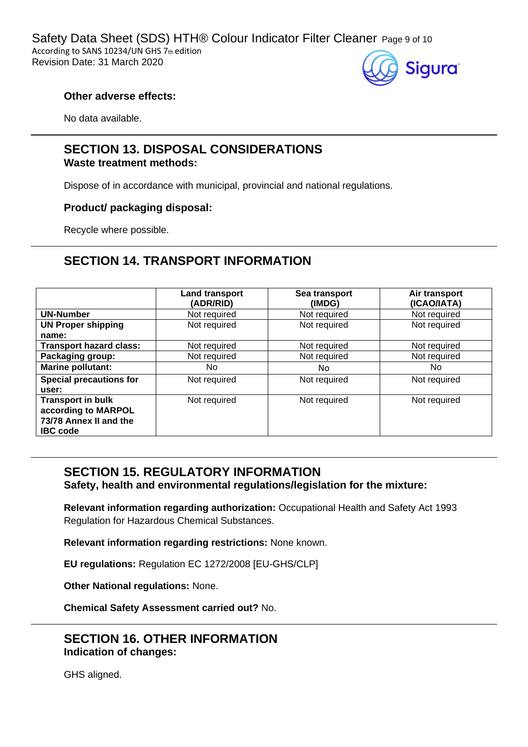Safety Data Sheet (SDS) HTH® Colour Indicator Filter Cleaner Page 9 of 10 According to SANS 10234/UN GHS 7th edition Revision Date: 31 March 2020



# **Other adverse effects:**

No data available.

# **SECTION 13. DISPOSAL CONSIDERATIONS Waste treatment methods:**

Dispose of in accordance with municipal, provincial and national regulations.

# **Product/ packaging disposal:**

Recycle where possible.

# **SECTION 14. TRANSPORT INFORMATION**

|                                                                                              | Land transport<br>(ADR/RID) | Sea transport<br>(IMDG) | Air transport<br>(ICAO/IATA) |
|----------------------------------------------------------------------------------------------|-----------------------------|-------------------------|------------------------------|
| <b>UN-Number</b>                                                                             | Not required                | Not required            | Not required                 |
| <b>UN Proper shipping</b>                                                                    | Not required                | Not required            | Not required                 |
| name:                                                                                        |                             |                         |                              |
| <b>Transport hazard class:</b>                                                               | Not required                | Not required            | Not required                 |
| Packaging group:                                                                             | Not required                | Not required            | Not required                 |
| Marine pollutant:                                                                            | No.                         | No.                     | No.                          |
| <b>Special precautions for</b><br>user:                                                      | Not required                | Not required            | Not required                 |
| <b>Transport in bulk</b><br>according to MARPOL<br>73/78 Annex II and the<br><b>IBC</b> code | Not required                | Not required            | Not required                 |

# **SECTION 15. REGULATORY INFORMATION**

**Safety, health and environmental regulations/legislation for the mixture:**

**Relevant information regarding authorization:** Occupational Health and Safety Act 1993 Regulation for Hazardous Chemical Substances.

**Relevant information regarding restrictions:** None known.

**EU regulations:** Regulation EC 1272/2008 [EU-GHS/CLP]

**Other National regulations:** None.

**Chemical Safety Assessment carried out?** No.

# **SECTION 16. OTHER INFORMATION Indication of changes:**

GHS aligned.